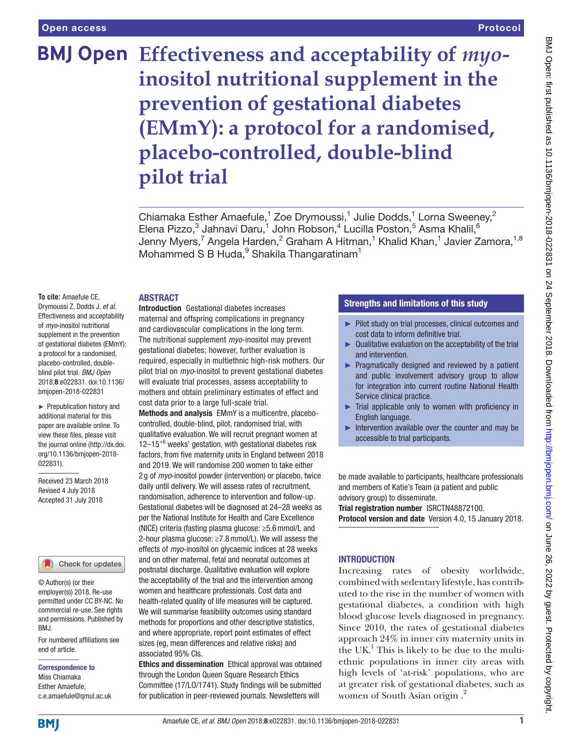# **BMJ Open** Effectiveness and acceptability of *myo***inositol nutritional supplement in the prevention of gestational diabetes (EMmY): a protocol for a randomised, placebo-controlled, double-blind pilot trial**

Chiamaka Esther Amaefule,<sup>1</sup> Zoe Drymoussi,<sup>1</sup> Julie Dodds,<sup>1</sup> Lorna Sweeney,<sup>2</sup> Elena Pizzo, $^3$  Jahnavi Daru, $^1$  John Robson, $^4$  Lucilla Poston, $^5$  Asma Khalil, $^6$ Jenny Myers,<sup>7</sup> Angela Harden,<sup>2</sup> Graham A Hitman,<sup>1</sup> Khalid Khan,<sup>1</sup> Javier Zamora,<sup>1,8</sup> Mohammed S B Huda, $^9$  Shakila Thangaratinam<sup>1</sup>

#### **ABSTRACT**

**To cite:** Amaefule CE, Drymoussi Z, Dodds J, *et al*. Effectiveness and acceptability of *myo*-inositol nutritional supplement in the prevention of gestational diabetes (EMmY): a protocol for a randomised, placebo-controlled, doubleblind pilot trial. *BMJ Open* 2018;8:e022831. doi:10.1136/ bmjopen-2018-022831

► Prepublication history and additional material for this paper are available online. To view these files, please visit the journal online [\(http://dx.doi.](http://dx.doi.org/10.1136/bmjopen-2018-022831) [org/10.1136/bmjopen-2018-](http://dx.doi.org/10.1136/bmjopen-2018-022831) [022831\)](http://dx.doi.org/10.1136/bmjopen-2018-022831).

Received 23 March 2018 Revised 4 July 2018 Accepted 31 July 2018

#### Check for updates

© Author(s) (or their employer(s)) 2018. Re-use permitted under CC BY-NC. No commercial re-use. See rights and permissions. Published by BMJ.

For numbered affiliations see end of article.

#### Correspondence to

Miss Chiamaka Esther Amaefule; c.e.amaefule@qmul.ac.uk Introduction Gestational diabetes increases maternal and offspring complications in pregnancy and cardiovascular complications in the long term. The nutritional supplement *myo*-inositol may prevent gestational diabetes; however, further evaluation is required, especially in multiethnic high-risk mothers. Our pilot trial on *myo*-inositol to prevent gestational diabetes will evaluate trial processes, assess acceptability to mothers and obtain preliminary estimates of effect and cost data prior to a large full-scale trial.

Methods and analysis EMmY is a multicentre, placebocontrolled, double-blind, pilot, randomised trial, with qualitative evaluation. We will recruit pregnant women at  $12-15^{+6}$  weeks' gestation, with gestational diabetes risk factors, from five maternity units in England between 2018 and 2019. We will randomise 200 women to take either 2 g of *myo*-inositol powder (intervention) or placebo, twice daily until delivery. We will assess rates of recruitment, randomisation, adherence to intervention and follow-up. Gestational diabetes will be diagnosed at 24–28 weeks as per the National Institute for Health and Care Excellence (NICE) criteria (fasting plasma glucose: ≥5.6mmol/L and 2-hour plasma glucose: ≥7.8mmol/L). We will assess the effects of *myo*-inositol on glycaemic indices at 28 weeks and on other maternal, fetal and neonatal outcomes at postnatal discharge. Qualitative evaluation will explore the acceptability of the trial and the intervention among women and healthcare professionals. Cost data and health-related quality of life measures will be captured. We will summarise feasibility outcomes using standard methods for proportions and other descriptive statistics, and where appropriate, report point estimates of effect sizes (eg, mean differences and relative risks) and associated 95% CIs.

Ethics and dissemination Ethical approval was obtained through the London Queen Square Research Ethics Committee (17/LO/1741). Study findings will be submitted for publication in peer-reviewed journals. Newsletters will

#### Strengths and limitations of this study

- ► Pilot study on trial processes, clinical outcomes and cost data to inform definitive trial.
- ► Qualitative evaluation on the acceptability of the trial and intervention.
- ► Pragmatically designed and reviewed by a patient and public involvement advisory group to allow for integration into current routine National Health Service clinical practice.
- $\blacktriangleright$  Trial applicable only to women with proficiency in English language.
- ► Intervention available over the counter and may be accessible to trial participants.

be made available to participants, healthcare professionals and members of Katie's Team (a patient and public advisory group) to disseminate.

Trial registration number [ISRCTN48872100.](ISRCTN48872100) Protocol version and date Version 4.0, 15 January 2018.

# **INTRODUCTION**

Increasing rates of obesity worldwide, combined with sedentary lifestyle, has contributed to the rise in the number of women with gestational diabetes, a condition with high blood glucose levels diagnosed in pregnancy. Since 2010, the rates of gestational diabetes approach 24% in inner city maternity units in the UK.<sup>1</sup> This is likely to be due to the multiethnic populations in inner city areas with high levels of 'at-risk' populations, who are at greater risk of gestational diabetes, such as women of South Asian origin .[2](#page-8-1)

**BMI**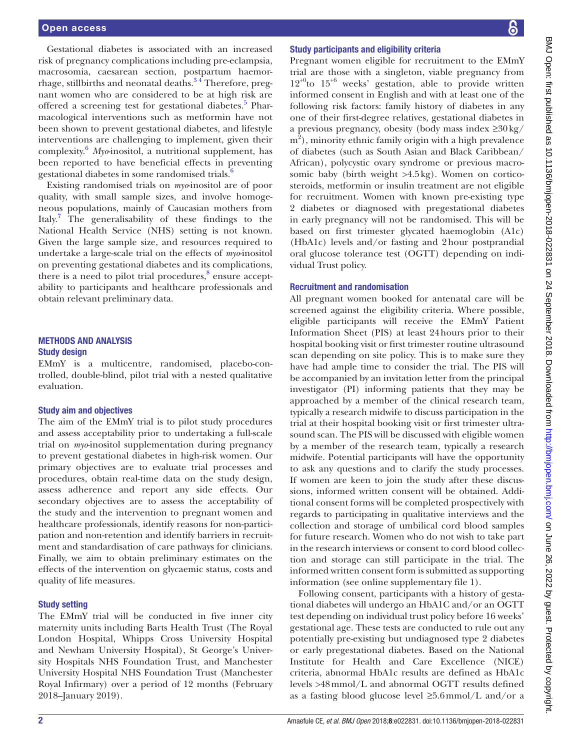Gestational diabetes is associated with an increased risk of pregnancy complications including pre-eclampsia, macrosomia, caesarean section, postpartum haemorrhage, stillbirths and neonatal deaths.<sup>34</sup> Therefore, pregnant women who are considered to be at high risk are offered a screening test for gestational diabetes.<sup>[5](#page-8-3)</sup> Pharmacological interventions such as metformin have not been shown to prevent gestational diabetes, and lifestyle interventions are challenging to implement, given their complexity.[6](#page-8-4)  *Myo*-inositol, a nutritional supplement, has been reported to have beneficial effects in preventing gestational diabetes in some randomised trials.<sup>[6](#page-8-4)</sup>

Existing randomised trials on *myo*-inositol are of poor quality, with small sample sizes, and involve homogeneous populations, mainly of Caucasian mothers from Italy.<sup>7</sup> The generalisability of these findings to the National Health Service (NHS) setting is not known. Given the large sample size, and resources required to undertake a large-scale trial on the effects of *myo*-inositol on preventing gestational diabetes and its complications, there is a need to pilot trial procedures,<sup>8</sup> ensure acceptability to participants and healthcare professionals and obtain relevant preliminary data.

#### Methods and analysis Study design

EMmY is a multicentre, randomised, placebo-controlled, double-blind, pilot trial with a nested qualitative evaluation.

#### Study aim and objectives

The aim of the EMmY trial is to pilot study procedures and assess acceptability prior to undertaking a full-scale trial on *myo*-inositol supplementation during pregnancy to prevent gestational diabetes in high-risk women. Our primary objectives are to evaluate trial processes and procedures, obtain real-time data on the study design, assess adherence and report any side effects. Our secondary objectives are to assess the acceptability of the study and the intervention to pregnant women and healthcare professionals, identify reasons for non-participation and non-retention and identify barriers in recruitment and standardisation of care pathways for clinicians. Finally, we aim to obtain preliminary estimates on the effects of the intervention on glycaemic status, costs and quality of life measures.

#### Study setting

The EMmY trial will be conducted in five inner city maternity units including Barts Health Trust (The Royal London Hospital, Whipps Cross University Hospital and Newham University Hospital), St George's University Hospitals NHS Foundation Trust, and Manchester University Hospital NHS Foundation Trust (Manchester Royal Infirmary) over a period of 12 months (February 2018–January 2019).

#### Study participants and eligibility criteria

Pregnant women eligible for recruitment to the EMmY trial are those with a singleton, viable pregnancy from  $12^{+0}$ to  $15^{+6}$  weeks' gestation, able to provide written informed consent in English and with at least one of the following risk factors: family history of diabetes in any one of their first-degree relatives, gestational diabetes in a previous pregnancy, obesity (body mass index ≥30kg/ m<sup>2</sup>), minority ethnic family origin with a high prevalence of diabetes (such as South Asian and Black Caribbean/ African), polycystic ovary syndrome or previous macrosomic baby (birth weight >4.5kg). Women on corticosteroids, metformin or insulin treatment are not eligible for recruitment. Women with known pre-existing type 2 diabetes or diagnosed with pregestational diabetes in early pregnancy will not be randomised. This will be based on first trimester glycated haemoglobin (A1c) (HbA1c) levels and/or fasting and 2hour postprandial oral glucose tolerance test (OGTT) depending on individual Trust policy.

#### Recruitment and randomisation

All pregnant women booked for antenatal care will be screened against the eligibility criteria. Where possible, eligible participants will receive the EMmY Patient Information Sheet (PIS) at least 24hours prior to their hospital booking visit or first trimester routine ultrasound scan depending on site policy. This is to make sure they have had ample time to consider the trial. The PIS will be accompanied by an invitation letter from the principal investigator (PI) informing patients that they may be approached by a member of the clinical research team, typically a research midwife to discuss participation in the trial at their hospital booking visit or first trimester ultrasound scan. The PIS will be discussed with eligible women by a member of the research team, typically a research midwife. Potential participants will have the opportunity to ask any questions and to clarify the study processes. If women are keen to join the study after these discussions, informed written consent will be obtained. Additional consent forms will be completed prospectively with regards to participating in qualitative interviews and the collection and storage of umbilical cord blood samples for future research. Women who do not wish to take part in the research interviews or consent to cord blood collection and storage can still participate in the trial. The informed written consent form is submitted as supporting information (see online [supplementary file 1](https://dx.doi.org/10.1136/bmjopen-2018-022831)).

Following consent, participants with a history of gestational diabetes will undergo an HbA1C and/or an OGTT test depending on individual trust policy before 16 weeks' gestational age. These tests are conducted to rule out any potentially pre-existing but undiagnosed type 2 diabetes or early pregestational diabetes. Based on the National Institute for Health and Care Excellence (NICE) criteria, abnormal HbA1c results are defined as HbA1c levels >48mmol/L and abnormal OGTT results defined as a fasting blood glucose level ≥5.6mmol/L and/or a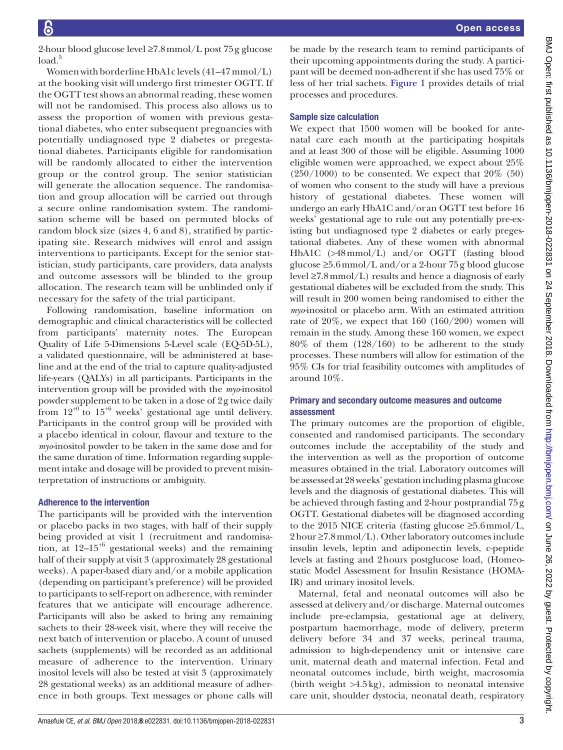BMJ Open: first published as 10.1136/bmjopen-2018-022831 on 24 September 2018. Downloaded from http://bmjopen.bmj.com/ on June 26, 2022 by guest. Protected by copyright BMJ Open: first published as 10.1136/bmjopen-2018-0218-0012 September 2018. Downloaded from bright. Http://bmjopen.bmj.com/ on June 26, 2022 by guest. Protected by copyright.

2-hour blood glucose level ≥7.8mmol/L post 75g glucose  $load<sup>5</sup>$ 

Women with borderline HbA1c levels (41–47 mmol/L) at the booking visit will undergo first trimester OGTT. If the OGTT test shows an abnormal reading, these women will not be randomised. This process also allows us to assess the proportion of women with previous gestational diabetes, who enter subsequent pregnancies with potentially undiagnosed type 2 diabetes or pregestational diabetes. Participants eligible for randomisation will be randomly allocated to either the intervention group or the control group. The senior statistician will generate the allocation sequence. The randomisation and group allocation will be carried out through a secure online randomisation system. The randomisation scheme will be based on permuted blocks of random block size (sizes 4, 6 and 8), stratified by participating site. Research midwives will enrol and assign interventions to participants. Except for the senior statistician, study participants, care providers, data analysts and outcome assessors will be blinded to the group allocation. The research team will be unblinded only if necessary for the safety of the trial participant.

Following randomisation, baseline information on demographic and clinical characteristics will be collected from participants' maternity notes. The European Quality of Life 5-Dimensions 5-Level scale (EQ-5D-5L), a validated questionnaire, will be administered at baseline and at the end of the trial to capture quality-adjusted life-years (QALYs) in all participants. Participants in the intervention group will be provided with the *myo*-inositol powder supplement to be taken in a dose of 2g twice daily from  $12^{+0}$  to  $15^{+6}$  weeks' gestational age until delivery. Participants in the control group will be provided with a placebo identical in colour, flavour and texture to the *myo*-inositol powder to be taken in the same dose and for the same duration of time. Information regarding supplement intake and dosage will be provided to prevent misinterpretation of instructions or ambiguity.

# Adherence to the intervention

The participants will be provided with the intervention or placebo packs in two stages, with half of their supply being provided at visit 1 (recruitment and randomisation, at  $12-15^{+6}$  gestational weeks) and the remaining half of their supply at visit 3 (approximately 28 gestational weeks). A paper-based diary and/or a mobile application (depending on participant's preference) will be provided to participants to self-report on adherence, with reminder features that we anticipate will encourage adherence. Participants will also be asked to bring any remaining sachets to their 28-week visit, where they will receive the next batch of intervention or placebo. A count of unused sachets (supplements) will be recorded as an additional measure of adherence to the intervention. Urinary inositol levels will also be tested at visit 3 (approximately 28 gestational weeks) as an additional measure of adherence in both groups. Text messages or phone calls will

be made by the research team to remind participants of their upcoming appointments during the study. A participant will be deemed non-adherent if she has used 75% or less of her trial sachets. [Figure](#page-3-0) 1 provides details of trial processes and procedures.

# Sample size calculation

We expect that 1500 women will be booked for antenatal care each month at the participating hospitals and at least 300 of those will be eligible. Assuming 1000 eligible women were approached, we expect about 25%  $(250/1000)$  to be consented. We expect that  $20\%$  (50) of women who consent to the study will have a previous history of gestational diabetes. These women will undergo an early HbA1C and/or an OGTT test before 16 weeks' gestational age to rule out any potentially pre-existing but undiagnosed type 2 diabetes or early pregestational diabetes. Any of these women with abnormal HbA1C (>48mmol/L) and/or OGTT (fasting blood glucose ≥5.6mmol/L and/or a 2-hour 75g blood glucose level ≥7.8mmol/L) results and hence a diagnosis of early gestational diabetes will be excluded from the study. This will result in 200 women being randomised to either the *myo*-inositol or placebo arm. With an estimated attrition rate of 20%, we expect that 160 (160/200) women will remain in the study. Among these 160 women, we expect 80% of them (128/160) to be adherent to the study processes. These numbers will allow for estimation of the 95% CIs for trial feasibility outcomes with amplitudes of around 10%.

# Primary and secondary outcome measures and outcome assessment

The primary outcomes are the proportion of eligible, consented and randomised participants. The secondary outcomes include the acceptability of the study and the intervention as well as the proportion of outcome measures obtained in the trial. Laboratory outcomes will be assessed at 28 weeks' gestation including plasma glucose levels and the diagnosis of gestational diabetes. This will be achieved through fasting and 2-hour postprandial 75g OGTT. Gestational diabetes will be diagnosed according to the 2015 NICE criteria (fasting glucose ≥5.6mmol/L,  $2 \text{ hour} \geq 7.8 \text{ mmol/L}$ . Other laboratory outcomes include insulin levels, leptin and adiponectin levels, c-peptide levels at fasting and 2hours postglucose load, (Homeostatic Model Assessment for Insulin Resistance (HOMA-IR) and urinary inositol levels.

Maternal, fetal and neonatal outcomes will also be assessed at delivery and/or discharge. Maternal outcomes include pre-eclampsia, gestational age at delivery, postpartum haemorrhage, mode of delivery, preterm delivery before 34 and 37 weeks, perineal trauma, admission to high-dependency unit or intensive care unit, maternal death and maternal infection. Fetal and neonatal outcomes include, birth weight, macrosomia (birth weight  $>4.5\,\mathrm{kg}$ ), admission to neonatal intensive care unit, shoulder dystocia, neonatal death, respiratory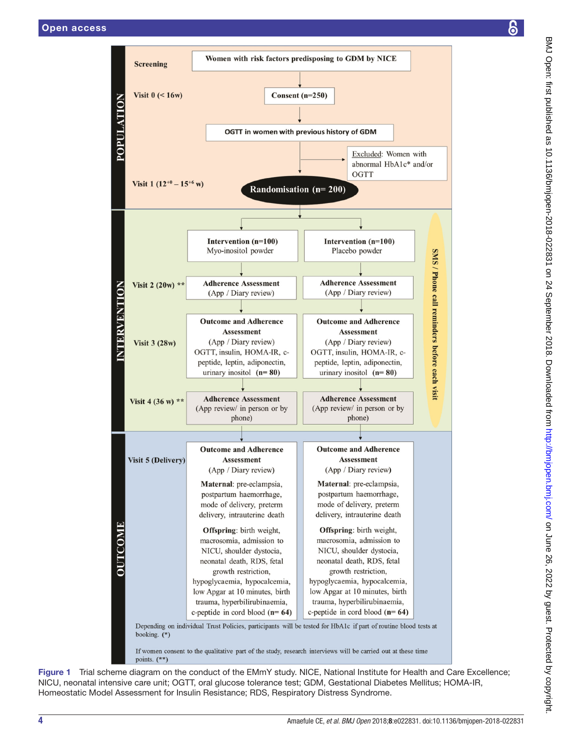**POPULATION** 

**VTERVENTION** 





<span id="page-3-0"></span>Figure 1 Trial scheme diagram on the conduct of the EMmY study. NICE, National Institute for Health and Care Excellence; NICU, neonatal intensive care unit; OGTT, oral glucose tolerance test; GDM, Gestational Diabetes Mellitus; HOMA-IR, Homeostatic Model Assessment for Insulin Resistance; RDS, Respiratory Distress Syndrome.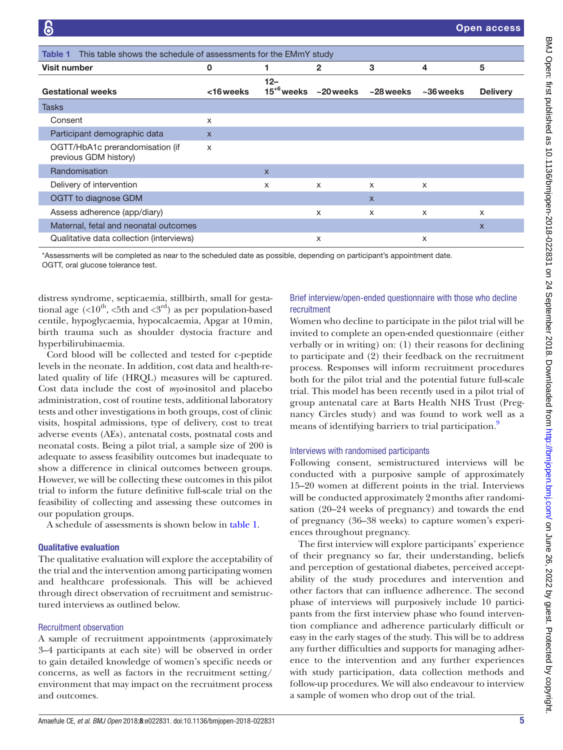<span id="page-4-0"></span>

| This table shows the schedule of assessments for the EMmY study<br>Table 1 |              |                           |           |              |              |                 |
|----------------------------------------------------------------------------|--------------|---------------------------|-----------|--------------|--------------|-----------------|
| <b>Visit number</b>                                                        | 0            |                           | 2         | 3            | 4            | 5               |
| <b>Gestational weeks</b>                                                   | <16 weeks    | $12 -$<br>$15^{+6}$ weeks | ~20 weeks | $~28$ weeks  | $~10$ weeks  | <b>Delivery</b> |
| Tasks                                                                      |              |                           |           |              |              |                 |
| Consent                                                                    | x            |                           |           |              |              |                 |
| Participant demographic data                                               | $\mathsf{x}$ |                           |           |              |              |                 |
| OGTT/HbA1c prerandomisation (if<br>previous GDM history)                   | X            |                           |           |              |              |                 |
| Randomisation                                                              |              | $\mathsf{x}$              |           |              |              |                 |
| Delivery of intervention                                                   |              | X                         | X         | X            | $\times$     |                 |
| OGTT to diagnose GDM                                                       |              |                           |           | $\mathsf{x}$ |              |                 |
| Assess adherence (app/diary)                                               |              |                           | $\times$  | X            | $\mathsf{x}$ | X               |
| Maternal, fetal and neonatal outcomes                                      |              |                           |           |              |              | $\mathsf{x}$    |
| Qualitative data collection (interviews)                                   |              |                           | X         |              | X            |                 |

\*Assessments will be completed as near to the scheduled date as possible, depending on participant's appointment date. OGTT, oral glucose tolerance test.

distress syndrome, septicaemia, stillbirth, small for gestational age  $\langle$ <10<sup>th</sup>, <5th and <3<sup>rd</sup>) as per population-based centile, hypoglycaemia, hypocalcaemia, Apgar at 10min, birth trauma such as shoulder dystocia fracture and hyperbilirubinaemia.

Cord blood will be collected and tested for c-peptide levels in the neonate. In addition, cost data and health-related quality of life (HRQL) measures will be captured. Cost data include the cost of *myo*-inositol and placebo administration, cost of routine tests, additional laboratory tests and other investigations in both groups, cost of clinic visits, hospital admissions, type of delivery, cost to treat adverse events (AEs), antenatal costs, postnatal costs and neonatal costs. Being a pilot trial, a sample size of 200 is adequate to assess feasibility outcomes but inadequate to show a difference in clinical outcomes between groups. However, we will be collecting these outcomes in this pilot trial to inform the future definitive full-scale trial on the feasibility of collecting and assessing these outcomes in our population groups.

A schedule of assessments is shown below in [table](#page-4-0) 1.

#### Qualitative evaluation

The qualitative evaluation will explore the acceptability of the trial and the intervention among participating women and healthcare professionals. This will be achieved through direct observation of recruitment and semistructured interviews as outlined below.

# Recruitment observation

A sample of recruitment appointments (approximately 3–4 participants at each site) will be observed in order to gain detailed knowledge of women's specific needs or concerns, as well as factors in the recruitment setting/ environment that may impact on the recruitment process and outcomes.

# Brief interview/open-ended questionnaire with those who decline recruitment

Women who decline to participate in the pilot trial will be invited to complete an open-ended questionnaire (either verbally or in writing) on: (1) their reasons for declining to participate and (2) their feedback on the recruitment process. Responses will inform recruitment procedures both for the pilot trial and the potential future full-scale trial. This model has been recently used in a pilot trial of group antenatal care at Barts Health NHS Trust (Pregnancy Circles study) and was found to work well as a means of identifying barriers to trial participation.<sup>9</sup>

# Interviews with randomised participants

Following consent, semistructured interviews will be conducted with a purposive sample of approximately 15–20 women at different points in the trial. Interviews will be conducted approximately 2 months after randomisation (20–24 weeks of pregnancy) and towards the end of pregnancy (36–38 weeks) to capture women's experiences throughout pregnancy.

The first interview will explore participants' experience of their pregnancy so far, their understanding, beliefs and perception of gestational diabetes, perceived acceptability of the study procedures and intervention and other factors that can influence adherence. The second phase of interviews will purposively include 10 participants from the first interview phase who found intervention compliance and adherence particularly difficult or easy in the early stages of the study. This will be to address any further difficulties and supports for managing adherence to the intervention and any further experiences with study participation, data collection methods and follow-up procedures. We will also endeavour to interview a sample of women who drop out of the trial.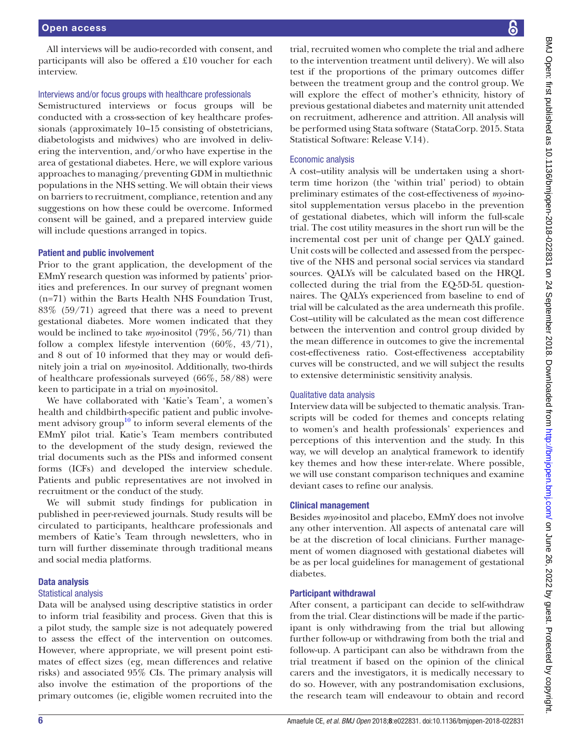All interviews will be audio-recorded with consent, and participants will also be offered a £10 voucher for each interview.

# Interviews and/or focus groups with healthcare professionals

Semistructured interviews or focus groups will be conducted with a cross-section of key healthcare professionals (approximately 10–15 consisting of obstetricians, diabetologists and midwives) who are involved in delivering the intervention, and/orwho have expertise in the area of gestational diabetes. Here, we will explore various approaches to managing/preventing GDM in multiethnic populations in the NHS setting. We will obtain their views on barriers to recruitment, compliance, retention and any suggestions on how these could be overcome. Informed consent will be gained, and a prepared interview guide will include questions arranged in topics.

## Patient and public involvement

Prior to the grant application, the development of the EMmY research question was informed by patients' priorities and preferences. In our survey of pregnant women (n=71) within the Barts Health NHS Foundation Trust, 83% (59/71) agreed that there was a need to prevent gestational diabetes. More women indicated that they would be inclined to take *myo*-inositol (79%, 56/71) than follow a complex lifestyle intervention (60%, 43/71), and 8 out of 10 informed that they may or would definitely join a trial on *myo*-inositol. Additionally, two-thirds of healthcare professionals surveyed (66%, 58/88) were keen to participate in a trial on *myo*-inositol.

We have collaborated with 'Katie's Team', a women's health and childbirth-specific patient and public involvement advisory group<sup>10</sup> to inform several elements of the EMmY pilot trial. Katie's Team members contributed to the development of the study design, reviewed the trial documents such as the PISs and informed consent forms (ICFs) and developed the interview schedule. Patients and public representatives are not involved in recruitment or the conduct of the study.

We will submit study findings for publication in published in peer-reviewed journals. Study results will be circulated to participants, healthcare professionals and members of Katie's Team through newsletters, who in turn will further disseminate through traditional means and social media platforms.

#### Data analysis

#### Statistical analysis

Data will be analysed using descriptive statistics in order to inform trial feasibility and process. Given that this is a pilot study, the sample size is not adequately powered to assess the effect of the intervention on outcomes. However, where appropriate, we will present point estimates of effect sizes (eg, mean differences and relative risks) and associated 95% CIs. The primary analysis will also involve the estimation of the proportions of the primary outcomes (ie, eligible women recruited into the

trial, recruited women who complete the trial and adhere to the intervention treatment until delivery). We will also test if the proportions of the primary outcomes differ between the treatment group and the control group. We will explore the effect of mother's ethnicity, history of previous gestational diabetes and maternity unit attended on recruitment, adherence and attrition. All analysis will be performed using Stata software (StataCorp. 2015. Stata Statistical Software: Release V.14).

## Economic analysis

A cost–utility analysis will be undertaken using a shortterm time horizon (the 'within trial' period) to obtain preliminary estimates of the cost-effectiveness of *myo*-inositol supplementation versus placebo in the prevention of gestational diabetes, which will inform the full-scale trial. The cost utility measures in the short run will be the incremental cost per unit of change per QALY gained. Unit costs will be collected and assessed from the perspective of the NHS and personal social services via standard sources. QALYs will be calculated based on the HRQL collected during the trial from the EQ-5D-5L questionnaires. The QALYs experienced from baseline to end of trial will be calculated as the area underneath this profile. Cost–utility will be calculated as the mean cost difference between the intervention and control group divided by the mean difference in outcomes to give the incremental cost-effectiveness ratio. Cost-effectiveness acceptability curves will be constructed, and we will subject the results to extensive deterministic sensitivity analysis.

#### Qualitative data analysis

Interview data will be subjected to thematic analysis. Transcripts will be coded for themes and concepts relating to women's and health professionals' experiences and perceptions of this intervention and the study. In this way, we will develop an analytical framework to identify key themes and how these inter-relate. Where possible, we will use constant comparison techniques and examine deviant cases to refine our analysis.

#### Clinical management

Besides *myo*-inositol and placebo, EMmY does not involve any other intervention. All aspects of antenatal care will be at the discretion of local clinicians. Further management of women diagnosed with gestational diabetes will be as per local guidelines for management of gestational diabetes.

# Participant withdrawal

After consent, a participant can decide to self-withdraw from the trial. Clear distinctions will be made if the participant is only withdrawing from the trial but allowing further follow-up or withdrawing from both the trial and follow-up. A participant can also be withdrawn from the trial treatment if based on the opinion of the clinical carers and the investigators, it is medically necessary to do so. However, with any postrandomisation exclusions, the research team will endeavour to obtain and record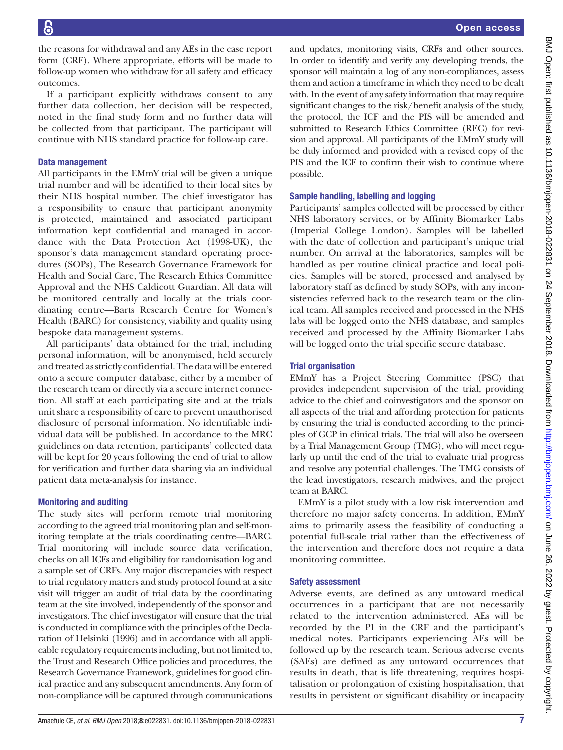the reasons for withdrawal and any AEs in the case report form (CRF). Where appropriate, efforts will be made to follow-up women who withdraw for all safety and efficacy outcomes.

If a participant explicitly withdraws consent to any further data collection, her decision will be respected, noted in the final study form and no further data will be collected from that participant. The participant will continue with NHS standard practice for follow-up care.

# Data management

All participants in the EMmY trial will be given a unique trial number and will be identified to their local sites by their NHS hospital number. The chief investigator has a responsibility to ensure that participant anonymity is protected, maintained and associated participant information kept confidential and managed in accordance with the Data Protection Act (1998-UK), the sponsor's data management standard operating procedures (SOPs), The Research Governance Framework for Health and Social Care, The Research Ethics Committee Approval and the NHS Caldicott Guardian. All data will be monitored centrally and locally at the trials coordinating centre—Barts Research Centre for Women's Health (BARC) for consistency, viability and quality using bespoke data management systems.

All participants' data obtained for the trial, including personal information, will be anonymised, held securely and treated as strictly confidential. The data will be entered onto a secure computer database, either by a member of the research team or directly via a secure internet connection. All staff at each participating site and at the trials unit share a responsibility of care to prevent unauthorised disclosure of personal information. No identifiable individual data will be published. In accordance to the MRC guidelines on data retention, participants' collected data will be kept for 20 years following the end of trial to allow for verification and further data sharing via an individual patient data meta-analysis for instance.

# Monitoring and auditing

The study sites will perform remote trial monitoring according to the agreed trial monitoring plan and self-monitoring template at the trials coordinating centre—BARC. Trial monitoring will include source data verification, checks on all ICFs and eligibility for randomisation log and a sample set of CRFs. Any major discrepancies with respect to trial regulatory matters and study protocol found at a site visit will trigger an audit of trial data by the coordinating team at the site involved, independently of the sponsor and investigators. The chief investigator will ensure that the trial is conducted in compliance with the principles of the Declaration of Helsinki (1996) and in accordance with all applicable regulatory requirements including, but not limited to, the Trust and Research Office policies and procedures, the Research Governance Framework, guidelines for good clinical practice and any subsequent amendments. Any form of non-compliance will be captured through communications

and updates, monitoring visits, CRFs and other sources. In order to identify and verify any developing trends, the sponsor will maintain a log of any non-compliances, assess them and action a timeframe in which they need to be dealt with. In the event of any safety information that may require significant changes to the risk/benefit analysis of the study, the protocol, the ICF and the PIS will be amended and submitted to Research Ethics Committee (REC) for revision and approval. All participants of the EMmY study will be duly informed and provided with a revised copy of the PIS and the ICF to confirm their wish to continue where possible.

## Sample handling, labelling and logging

Participants' samples collected will be processed by either NHS laboratory services, or by Affinity Biomarker Labs (Imperial College London). Samples will be labelled with the date of collection and participant's unique trial number. On arrival at the laboratories, samples will be handled as per routine clinical practice and local policies. Samples will be stored, processed and analysed by laboratory staff as defined by study SOPs, with any inconsistencies referred back to the research team or the clinical team. All samples received and processed in the NHS labs will be logged onto the NHS database, and samples received and processed by the Affinity Biomarker Labs will be logged onto the trial specific secure database.

# Trial organisation

EMmY has a Project Steering Committee (PSC) that provides independent supervision of the trial, providing advice to the chief and coinvestigators and the sponsor on all aspects of the trial and affording protection for patients by ensuring the trial is conducted according to the principles of GCP in clinical trials. The trial will also be overseen by a Trial Management Group (TMG), who will meet regularly up until the end of the trial to evaluate trial progress and resolve any potential challenges. The TMG consists of the lead investigators, research midwives, and the project team at BARC.

EMmY is a pilot study with a low risk intervention and therefore no major safety concerns. In addition, EMmY aims to primarily assess the feasibility of conducting a potential full-scale trial rather than the effectiveness of the intervention and therefore does not require a data monitoring committee.

# Safety assessment

Adverse events, are defined as any untoward medical occurrences in a participant that are not necessarily related to the intervention administered. AEs will be recorded by the PI in the CRF and the participant's medical notes. Participants experiencing AEs will be followed up by the research team. Serious adverse events (SAEs) are defined as any untoward occurrences that results in death, that is life threatening, requires hospitalisation or prolongation of existing hospitalisation, that results in persistent or significant disability or incapacity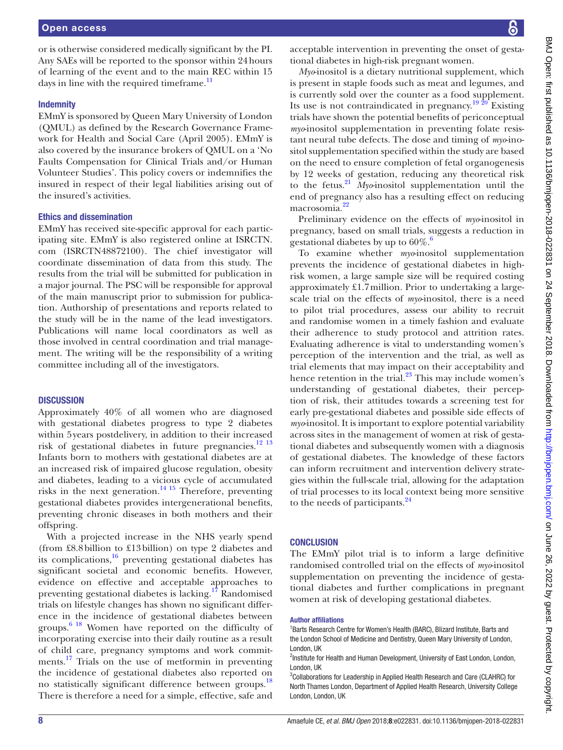or is otherwise considered medically significant by the PI. Any SAEs will be reported to the sponsor within 24hours of learning of the event and to the main REC within 15 days in line with the required timeframe. $\frac{11}{11}$ 

#### **Indemnity**

EMmY is sponsored by Queen Mary University of London (QMUL) as defined by the Research Governance Framework for Health and Social Care (April 2005). EMmY is also covered by the insurance brokers of QMUL on a 'No Faults Compensation for Clinical Trials and/or Human Volunteer Studies'. This policy covers or indemnifies the insured in respect of their legal liabilities arising out of the insured's activities.

#### Ethics and dissemination

EMmY has received site-specific approval for each participating site. EMmY is also registered online at ISRCTN. com (ISRCTN48872100). The chief investigator will coordinate dissemination of data from this study. The results from the trial will be submitted for publication in a major journal. The PSC will be responsible for approval of the main manuscript prior to submission for publication. Authorship of presentations and reports related to the study will be in the name of the lead investigators. Publications will name local coordinators as well as those involved in central coordination and trial management. The writing will be the responsibility of a writing committee including all of the investigators.

#### **DISCUSSION**

Approximately 40% of all women who are diagnosed with gestational diabetes progress to type 2 diabetes within 5years postdelivery, in addition to their increased risk of gestational diabetes in future pregnancies.<sup>12</sup><sup>13</sup> Infants born to mothers with gestational diabetes are at an increased risk of impaired glucose regulation, obesity and diabetes, leading to a vicious cycle of accumulated risks in the next generation.<sup>14 15</sup> Therefore, preventing gestational diabetes provides intergenerational benefits, preventing chronic diseases in both mothers and their offspring.

With a projected increase in the NHS yearly spend (from £8.8billion to £13billion) on type 2 diabetes and its complications, $16$  preventing gestational diabetes has significant societal and economic benefits. However, evidence on effective and acceptable approaches to preventing gestational diabetes is lacking.[17](#page-8-13) Randomised trials on lifestyle changes has shown no significant difference in the incidence of gestational diabetes between groups.<sup>6 18</sup> Women have reported on the difficulty of incorporating exercise into their daily routine as a result of child care, pregnancy symptoms and work commit-ments.<sup>[17](#page-8-13)</sup> Trials on the use of metformin in preventing the incidence of gestational diabetes also reported on no statistically significant difference between groups[.18](#page-8-14) There is therefore a need for a simple, effective, safe and

acceptable intervention in preventing the onset of gestational diabetes in high-risk pregnant women.

*Myo*-inositol is a dietary nutritional supplement, which is present in staple foods such as meat and legumes, and is currently sold over the counter as a food supplement. Its use is not contraindicated in pregnancy.[19 20](#page-8-15) Existing trials have shown the potential benefits of periconceptual *myo*-inositol supplementation in preventing folate resistant neural tube defects. The dose and timing of *myo*-inositol supplementation specified within the study are based on the need to ensure completion of fetal organogenesis by 12 weeks of gestation, reducing any theoretical risk to the fetus.[21](#page-8-16) *Myo*-inositol supplementation until the end of pregnancy also has a resulting effect on reducing macrosomia.<sup>22</sup>

Preliminary evidence on the effects of *myo*-inositol in pregnancy, based on small trials, suggests a reduction in gestational diabetes by up to  $60\%$  $60\%$ .<sup>6</sup>

To examine whether *myo*-inositol supplementation prevents the incidence of gestational diabetes in highrisk women, a large sample size will be required costing approximately £1.7million. Prior to undertaking a largescale trial on the effects of *myo*-inositol, there is a need to pilot trial procedures, assess our ability to recruit and randomise women in a timely fashion and evaluate their adherence to study protocol and attrition rates. Evaluating adherence is vital to understanding women's perception of the intervention and the trial, as well as trial elements that may impact on their acceptability and hence retention in the trial. $^{23}$  This may include women's understanding of gestational diabetes, their perception of risk, their attitudes towards a screening test for early pre-gestational diabetes and possible side effects of *myo*-inositol. It is important to explore potential variability across sites in the management of women at risk of gestational diabetes and subsequently women with a diagnosis of gestational diabetes. The knowledge of these factors can inform recruitment and intervention delivery strategies within the full-scale trial, allowing for the adaptation of trial processes to its local context being more sensitive to the needs of participants.<sup>24</sup>

#### **CONCLUSION**

The EMmY pilot trial is to inform a large definitive randomised controlled trial on the effects of *myo*-inositol supplementation on preventing the incidence of gestational diabetes and further complications in pregnant women at risk of developing gestational diabetes.

#### Author affiliations

<sup>1</sup>Barts Research Centre for Women's Health (BARC), Blizard Institute, Barts and the London School of Medicine and Dentistry, Queen Mary University of London, London, UK

<sup>3</sup>Collaborations for Leadership in Applied Health Research and Care (CLAHRC) for North Thames London, Department of Applied Health Research, University College London, London, UK

<sup>&</sup>lt;sup>2</sup>Institute for Health and Human Development, University of East London, London, London, UK